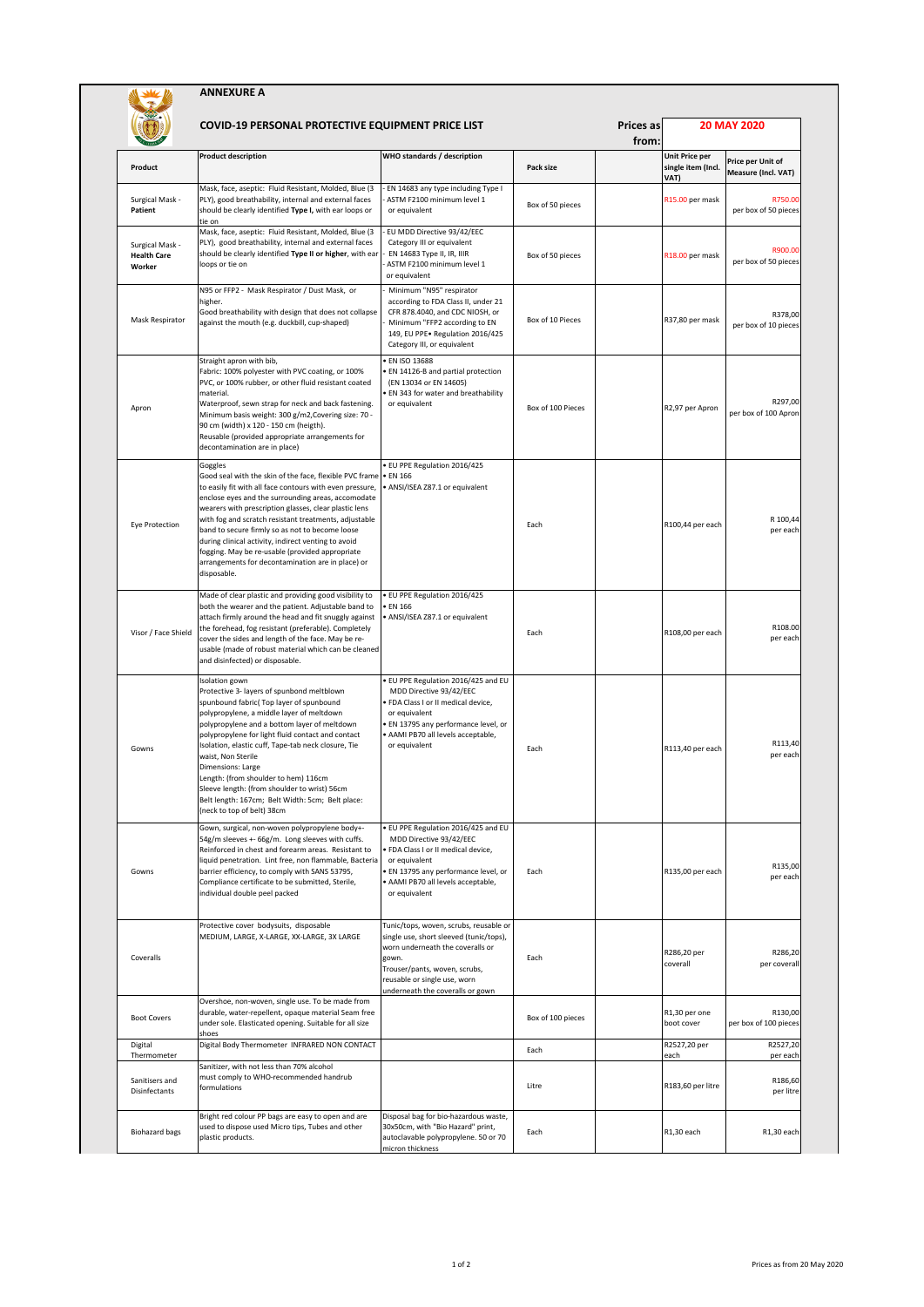|                                                 | <b>ANNEXURE A</b>                                                                                                                                                                                                                                                                                                                                                                                                                                                                                                                                |                                                                                                                                                                                                                                     |                   |                           |                                              |                                          |  |
|-------------------------------------------------|--------------------------------------------------------------------------------------------------------------------------------------------------------------------------------------------------------------------------------------------------------------------------------------------------------------------------------------------------------------------------------------------------------------------------------------------------------------------------------------------------------------------------------------------------|-------------------------------------------------------------------------------------------------------------------------------------------------------------------------------------------------------------------------------------|-------------------|---------------------------|----------------------------------------------|------------------------------------------|--|
|                                                 | <b>COVID-19 PERSONAL PROTECTIVE EQUIPMENT PRICE LIST</b>                                                                                                                                                                                                                                                                                                                                                                                                                                                                                         |                                                                                                                                                                                                                                     |                   | <b>Prices as</b><br>from: |                                              | <b>20 MAY 2020</b>                       |  |
| Product                                         | <b>Product description</b>                                                                                                                                                                                                                                                                                                                                                                                                                                                                                                                       | WHO standards / description                                                                                                                                                                                                         | Pack size         |                           | Unit Price per<br>single item (Incl.<br>VAT) | Price per Unit of<br>Measure (Incl. VAT) |  |
| Surgical Mask -<br>Patient                      | Mask, face, aseptic: Fluid Resistant, Molded, Blue (3<br>PLY), good breathability, internal and external faces<br>should be clearly identified Type I, with ear loops or<br>tie on                                                                                                                                                                                                                                                                                                                                                               | EN 14683 any type including Type I<br>ASTM F2100 minimum level 1<br>or equivalent                                                                                                                                                   | Box of 50 pieces  |                           | R15.00 per mask                              | R750.00<br>per box of 50 pieces          |  |
| Surgical Mask -<br><b>Health Care</b><br>Worker | Mask, face, aseptic: Fluid Resistant, Molded, Blue (3<br>PLY), good breathability, internal and external faces<br>should be clearly identified Type II or higher, with ear<br>loops or tie on                                                                                                                                                                                                                                                                                                                                                    | EU MDD Directive 93/42/EEC<br>Category III or equivalent<br>EN 14683 Type II, IR, IIIR<br>ASTM F2100 minimum level 1<br>or equivalent                                                                                               | Box of 50 pieces  |                           | R18.00 per mask                              | R900.00<br>per box of 50 pieces          |  |
| Mask Respirator                                 | N95 or FFP2 - Mask Respirator / Dust Mask, or<br>higher.<br>Good breathability with design that does not collapse<br>against the mouth (e.g. duckbill, cup-shaped)                                                                                                                                                                                                                                                                                                                                                                               | Minimum "N95" respirator<br>according to FDA Class II, under 21<br>CFR 878.4040, and CDC NIOSH, or<br>Minimum "FFP2 according to EN<br>149, EU PPE. Regulation 2016/425<br>Category III, or equivalent                              | Box of 10 Pieces  |                           | R37,80 per mask                              | R378,00<br>per box of 10 pieces          |  |
| Apron                                           | Straight apron with bib,<br>Fabric: 100% polyester with PVC coating, or 100%<br>PVC, or 100% rubber, or other fluid resistant coated<br>material.<br>Waterproof, sewn strap for neck and back fastening.<br>Minimum basis weight: 300 g/m2, Covering size: 70 -<br>90 cm (width) x 120 - 150 cm (heigth).<br>Reusable (provided appropriate arrangements for<br>decontamination are in place)                                                                                                                                                    | EN ISO 13688<br>EN 14126-B and partial protection<br>(EN 13034 or EN 14605)<br>EN 343 for water and breathability<br>or equivalent                                                                                                  | Box of 100 Pieces |                           | R2,97 per Apron                              | R297,00<br>per box of 100 Apron          |  |
| Eye Protection                                  | Goggles<br>Good seal with the skin of the face, flexible PVC frame . EN 166<br>to easily fit with all face contours with even pressure,<br>enclose eyes and the surrounding areas, accomodate<br>wearers with prescription glasses, clear plastic lens<br>with fog and scratch resistant treatments, adjustable<br>band to secure firmly so as not to become loose<br>during clinical activity, indirect venting to avoid<br>fogging. May be re-usable (provided appropriate<br>arrangements for decontamination are in place) or<br>disposable. | · EU PPE Regulation 2016/425<br>· ANSI/ISEA Z87.1 or equivalent                                                                                                                                                                     | Each              |                           | R100,44 per each                             | R 100,44<br>per each                     |  |
| Visor / Face Shield                             | Made of clear plastic and providing good visibility to<br>both the wearer and the patient. Adjustable band to<br>attach firmly around the head and fit snuggly against<br>the forehead, fog resistant (preferable). Completely<br>cover the sides and length of the face. May be re-<br>usable (made of robust material which can be cleaned<br>and disinfected) or disposable.                                                                                                                                                                  | · EU PPE Regulation 2016/425<br><b>EN 166</b><br>· ANSI/ISEA Z87.1 or equivalent                                                                                                                                                    | Each              |                           | R108,00 per each                             | R108.00<br>per each                      |  |
| Gowns                                           | Isolation gown<br>Protective 3- layers of spunbond meltblown<br>spunbound fabric( Top layer of spunbound<br>polypropylene, a middle layer of meltdown<br>polypropylene and a bottom layer of meltdown<br>polypropylene for light fluid contact and contact<br>Isolation, elastic cuff, Tape-tab neck closure, Tie<br>waist, Non Sterile<br><b>Dimensions: Large</b><br>Length: (from shoulder to hem) 116cm<br>Sleeve length: (from shoulder to wrist) 56cm<br>Belt length: 167cm; Belt Width: 5cm; Belt place:<br>(neck to top of belt) 38cm    | EU PPE Regulation 2016/425 and EU<br>MDD Directive 93/42/EEC<br>FDA Class I or II medical device,<br>or equivalent<br>EN 13795 any performance level, or<br>AAMI PB70 all levels acceptable,<br>or equivalent                       | Each              |                           | R113,40 per each                             | R113,40<br>per each                      |  |
| Gowns                                           | Gown, surgical, non-woven polypropylene body+-<br>54g/m sleeves +- 66g/m. Long sleeves with cuffs.<br>Reinforced in chest and forearm areas. Resistant to<br>liquid penetration. Lint free, non flammable, Bacteria<br>barrier efficiency, to comply with SANS 53795,<br>Compliance certificate to be submitted, Sterile,<br>individual double peel packed                                                                                                                                                                                       | EU PPE Regulation 2016/425 and EU<br>MDD Directive 93/42/EEC<br>FDA Class I or II medical device,<br>or equivalent<br>· EN 13795 any performance level, or<br>AAMI PB70 all levels acceptable,<br>or equivalent                     | Each              |                           | R135,00 per each                             | R135,00<br>per each                      |  |
| Coveralls                                       | Protective cover bodysuits, disposable<br>MEDIUM, LARGE, X-LARGE, XX-LARGE, 3X LARGE                                                                                                                                                                                                                                                                                                                                                                                                                                                             | Tunic/tops, woven, scrubs, reusable or<br>single use, short sleeved (tunic/tops),<br>worn underneath the coveralls or<br>gown.<br>Trouser/pants, woven, scrubs,<br>reusable or single use, worn<br>underneath the coveralls or gown | Each              |                           | R286,20 per<br>coverall                      | R286,20<br>per coveral                   |  |
| <b>Boot Covers</b>                              | Overshoe, non-woven, single use. To be made from<br>durable, water-repellent, opaque material Seam free<br>under sole. Elasticated opening. Suitable for all size<br>shoes                                                                                                                                                                                                                                                                                                                                                                       |                                                                                                                                                                                                                                     | Box of 100 pieces |                           | R1,30 per one<br>boot cover                  | R130,00<br>per box of 100 pieces         |  |
| Digital<br>Thermometer                          | Digital Body Thermometer INFRARED NON CONTACT                                                                                                                                                                                                                                                                                                                                                                                                                                                                                                    |                                                                                                                                                                                                                                     | Each              |                           | R2527,20 per<br>each                         | R2527,20<br>per each                     |  |
| Sanitisers and<br>Disinfectants                 | Sanitizer, with not less than 70% alcohol<br>must comply to WHO-recommended handrub<br>formulations                                                                                                                                                                                                                                                                                                                                                                                                                                              |                                                                                                                                                                                                                                     | Litre             |                           | R183,60 per litre                            | R186,60<br>per litre                     |  |
| <b>Biohazard bags</b>                           | Bright red colour PP bags are easy to open and are<br>used to dispose used Micro tips, Tubes and other<br>plastic products.                                                                                                                                                                                                                                                                                                                                                                                                                      | Disposal bag for bio-hazardous waste,<br>30x50cm, with "Bio Hazard" print,<br>autoclavable polypropylene. 50 or 70<br>micron thickness                                                                                              | Each              |                           | R1,30 each                                   | R1,30 each                               |  |